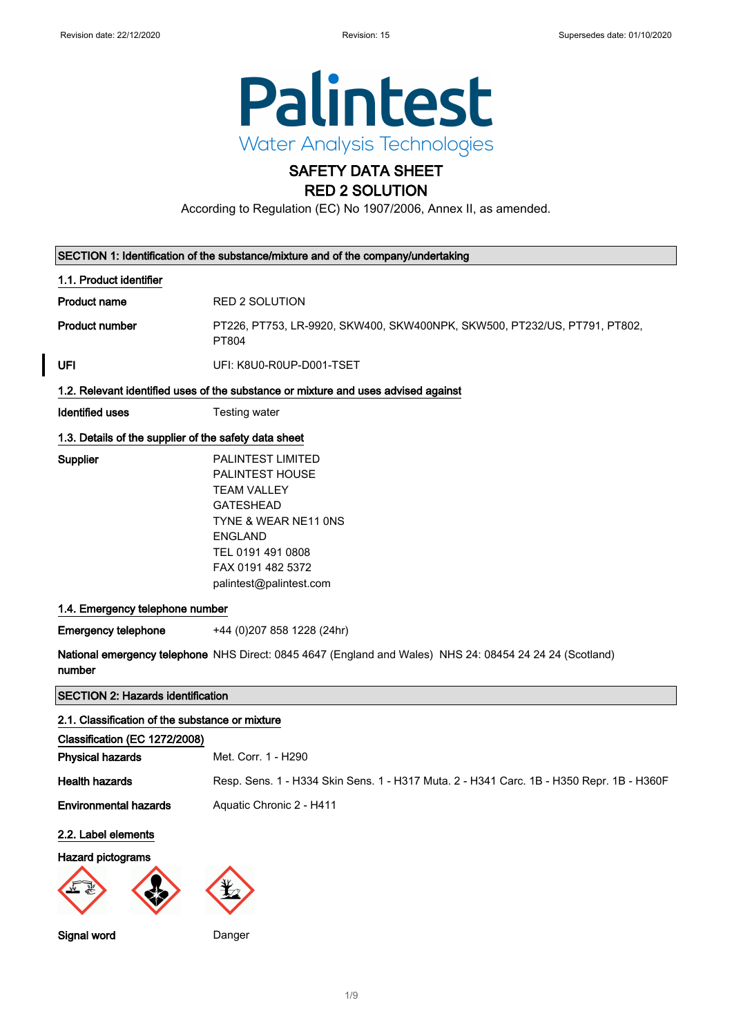

# SAFETY DATA SHEET RED 2 SOLUTION

According to Regulation (EC) No 1907/2006, Annex II, as amended.

| SECTION 1: Identification of the substance/mixture and of the company/undertaking |                                                                                                                                                                                                      |  |
|-----------------------------------------------------------------------------------|------------------------------------------------------------------------------------------------------------------------------------------------------------------------------------------------------|--|
| 1.1. Product identifier                                                           |                                                                                                                                                                                                      |  |
| <b>Product name</b>                                                               | <b>RED 2 SOLUTION</b>                                                                                                                                                                                |  |
| <b>Product number</b>                                                             | PT226, PT753, LR-9920, SKW400, SKW400NPK, SKW500, PT232/US, PT791, PT802,<br>PT804                                                                                                                   |  |
| UFI                                                                               | UFI: K8U0-R0UP-D001-TSET                                                                                                                                                                             |  |
|                                                                                   | 1.2. Relevant identified uses of the substance or mixture and uses advised against                                                                                                                   |  |
| <b>Identified uses</b>                                                            | Testing water                                                                                                                                                                                        |  |
| 1.3. Details of the supplier of the safety data sheet                             |                                                                                                                                                                                                      |  |
| Supplier                                                                          | <b>PALINTEST LIMITED</b><br>PALINTEST HOUSE<br><b>TEAM VALLEY</b><br><b>GATESHEAD</b><br>TYNE & WEAR NE11 ONS<br><b>ENGLAND</b><br>TEL 0191 491 0808<br>FAX 0191 482 5372<br>palintest@palintest.com |  |
| 1.4. Emergency telephone number                                                   |                                                                                                                                                                                                      |  |
| <b>Emergency telephone</b>                                                        | +44 (0) 207 858 1228 (24hr)                                                                                                                                                                          |  |
| number                                                                            | National emergency telephone NHS Direct: 0845 4647 (England and Wales) NHS 24: 08454 24 24 24 (Scotland)                                                                                             |  |
| <b>SECTION 2: Hazards identification</b>                                          |                                                                                                                                                                                                      |  |
| 2.1. Classification of the substance or mixture                                   |                                                                                                                                                                                                      |  |
| Classification (EC 1272/2008)                                                     |                                                                                                                                                                                                      |  |
| <b>Physical hazards</b>                                                           | Met. Corr. 1 - H290                                                                                                                                                                                  |  |
| <b>Health hazards</b>                                                             | Resp. Sens. 1 - H334 Skin Sens. 1 - H317 Muta. 2 - H341 Carc. 1B - H350 Repr. 1B - H360F                                                                                                             |  |
| <b>Environmental hazards</b>                                                      | Aquatic Chronic 2 - H411                                                                                                                                                                             |  |
| 2.2. Label elements                                                               |                                                                                                                                                                                                      |  |
| Hazard pictograms                                                                 |                                                                                                                                                                                                      |  |
|                                                                                   |                                                                                                                                                                                                      |  |
| Signal word                                                                       | Danger                                                                                                                                                                                               |  |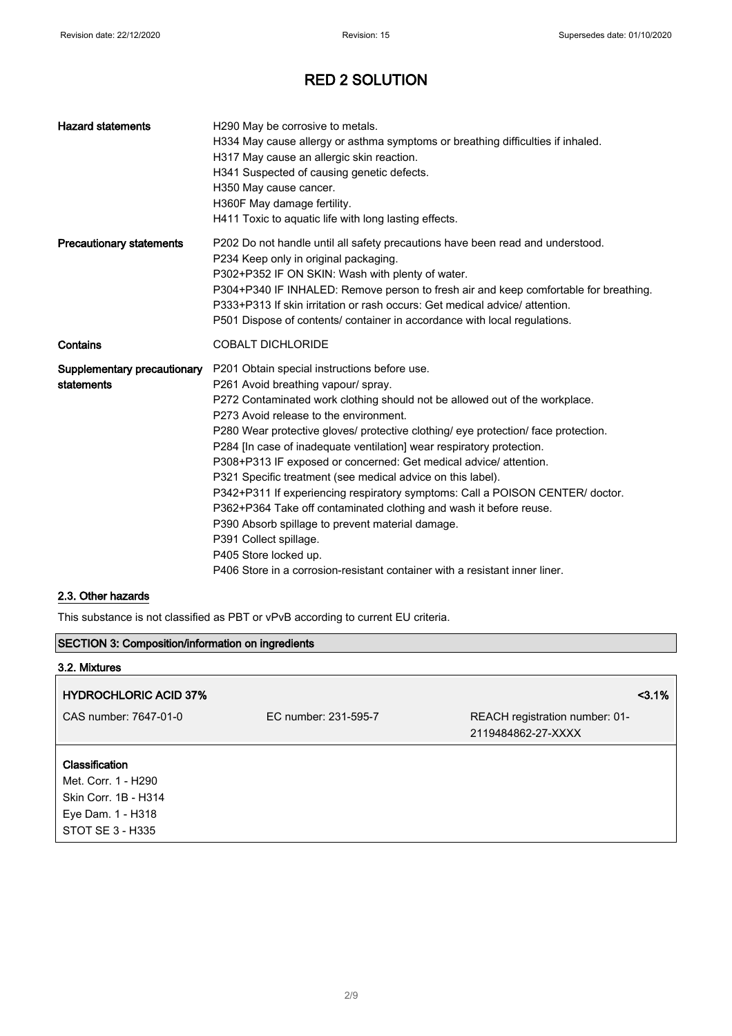| <b>Hazard statements</b>                  | H290 May be corrosive to metals.<br>H334 May cause allergy or asthma symptoms or breathing difficulties if inhaled.<br>H317 May cause an allergic skin reaction.<br>H341 Suspected of causing genetic defects.<br>H350 May cause cancer.<br>H360F May damage fertility.<br>H411 Toxic to aquatic life with long lasting effects.                                                                                                                                                                                                                                                                                                                                                                                                                                                                                                                             |
|-------------------------------------------|--------------------------------------------------------------------------------------------------------------------------------------------------------------------------------------------------------------------------------------------------------------------------------------------------------------------------------------------------------------------------------------------------------------------------------------------------------------------------------------------------------------------------------------------------------------------------------------------------------------------------------------------------------------------------------------------------------------------------------------------------------------------------------------------------------------------------------------------------------------|
| <b>Precautionary statements</b>           | P202 Do not handle until all safety precautions have been read and understood.<br>P234 Keep only in original packaging.<br>P302+P352 IF ON SKIN: Wash with plenty of water.<br>P304+P340 IF INHALED: Remove person to fresh air and keep comfortable for breathing.<br>P333+P313 If skin irritation or rash occurs: Get medical advice/attention.<br>P501 Dispose of contents/ container in accordance with local regulations.                                                                                                                                                                                                                                                                                                                                                                                                                               |
| Contains                                  | <b>COBALT DICHLORIDE</b>                                                                                                                                                                                                                                                                                                                                                                                                                                                                                                                                                                                                                                                                                                                                                                                                                                     |
| Supplementary precautionary<br>statements | P201 Obtain special instructions before use.<br>P261 Avoid breathing vapour/ spray.<br>P272 Contaminated work clothing should not be allowed out of the workplace.<br>P273 Avoid release to the environment.<br>P280 Wear protective gloves/ protective clothing/ eye protection/ face protection.<br>P284 [In case of inadequate ventilation] wear respiratory protection.<br>P308+P313 IF exposed or concerned: Get medical advice/ attention.<br>P321 Specific treatment (see medical advice on this label).<br>P342+P311 If experiencing respiratory symptoms: Call a POISON CENTER/ doctor.<br>P362+P364 Take off contaminated clothing and wash it before reuse.<br>P390 Absorb spillage to prevent material damage.<br>P391 Collect spillage.<br>P405 Store locked up.<br>P406 Store in a corrosion-resistant container with a resistant inner liner. |

# 2.3. Other hazards

This substance is not classified as PBT or vPvB according to current EU criteria.

| <b>SECTION 3: Composition/information on ingredients</b> |                      |                                                      |
|----------------------------------------------------------|----------------------|------------------------------------------------------|
| 3.2. Mixtures                                            |                      |                                                      |
| <b>HYDROCHLORIC ACID 37%</b>                             |                      | 3.1%                                                 |
| CAS number: 7647-01-0                                    | EC number: 231-595-7 | REACH registration number: 01-<br>2119484862-27-XXXX |
| <b>Classification</b>                                    |                      |                                                      |
| Met. Corr. 1 - H290                                      |                      |                                                      |
| Skin Corr. 1B - H314                                     |                      |                                                      |
| Eye Dam. 1 - H318                                        |                      |                                                      |
| STOT SE 3 - H335                                         |                      |                                                      |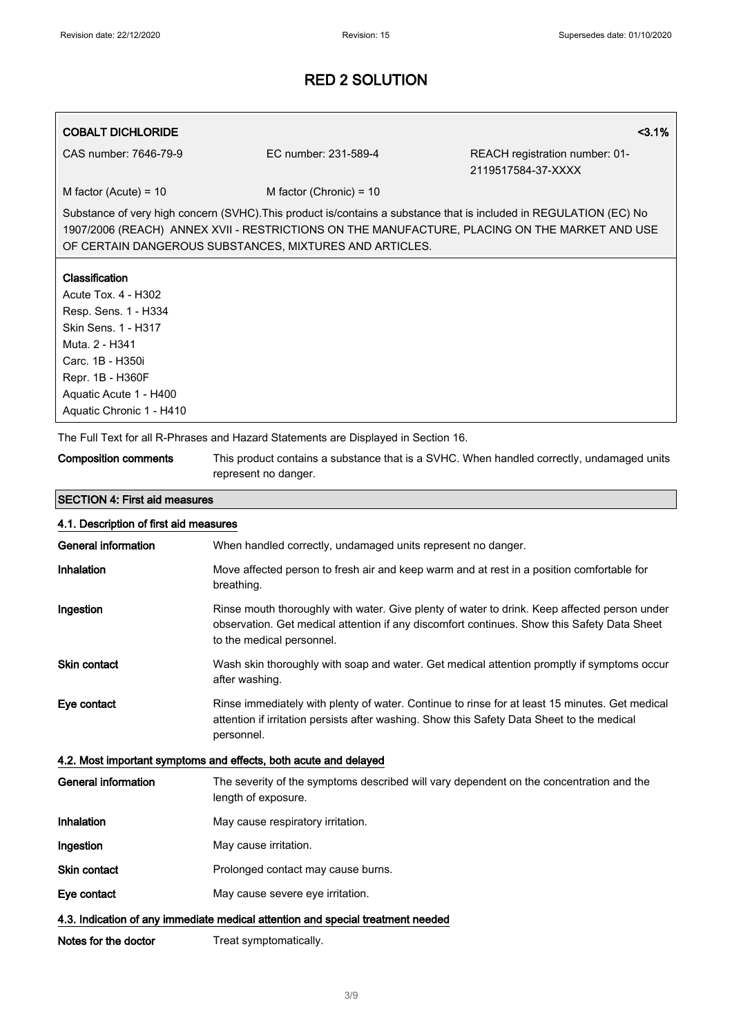## COBALT DICHLORIDE <3.1%

CAS number: 7646-79-9 EC number: 231-589-4 REACH registration number: 01- 2119517584-37-XXXX

 $M$  factor (Acute) = 10 M factor (Chronic) = 10

Substance of very high concern (SVHC).This product is/contains a substance that is included in REGULATION (EC) No 1907/2006 (REACH) ANNEX XVII - RESTRICTIONS ON THE MANUFACTURE, PLACING ON THE MARKET AND USE OF CERTAIN DANGEROUS SUBSTANCES, MIXTURES AND ARTICLES.

#### Classification

Acute Tox. 4 - H302 Resp. Sens. 1 - H334 Skin Sens. 1 - H317 Muta. 2 - H341 Carc. 1B - H350i Repr. 1B - H360F Aquatic Acute 1 - H400 Aquatic Chronic 1 - H410

SECTION 4: First aid measures

The Full Text for all R-Phrases and Hazard Statements are Displayed in Section 16.

| <b>Composition comments</b> | This product contains a substance that is a SVHC. When handled correctly, undamaged units |
|-----------------------------|-------------------------------------------------------------------------------------------|
|                             | represent no danger.                                                                      |

# 4.1. Description of first aid measures General information **When handled correctly, undamaged units represent no danger.** Inhalation Move affected person to fresh air and keep warm and at rest in a position comfortable for breathing. Ingestion **Rinse mouth thoroughly with water. Give plenty of water to drink. Keep affected person under** observation. Get medical attention if any discomfort continues. Show this Safety Data Sheet to the medical personnel. Skin contact **Wash skin thoroughly with soap and water. Get medical attention promptly if symptoms occur** after washing.

Eye contact Rinse immediately with plenty of water. Continue to rinse for at least 15 minutes. Get medical attention if irritation persists after washing. Show this Safety Data Sheet to the medical personnel.

## 4.2. Most important symptoms and effects, both acute and delayed

General information The severity of the symptoms described will vary dependent on the concentration and the length of exposure. Inhalation May cause respiratory irritation. **Ingestion** May cause irritation. Skin contact **Prolonged contact may cause burns.** Eye contact May cause severe eye irritation. 4.3. Indication of any immediate medical attention and special treatment needed

Notes for the doctor Treat symptomatically.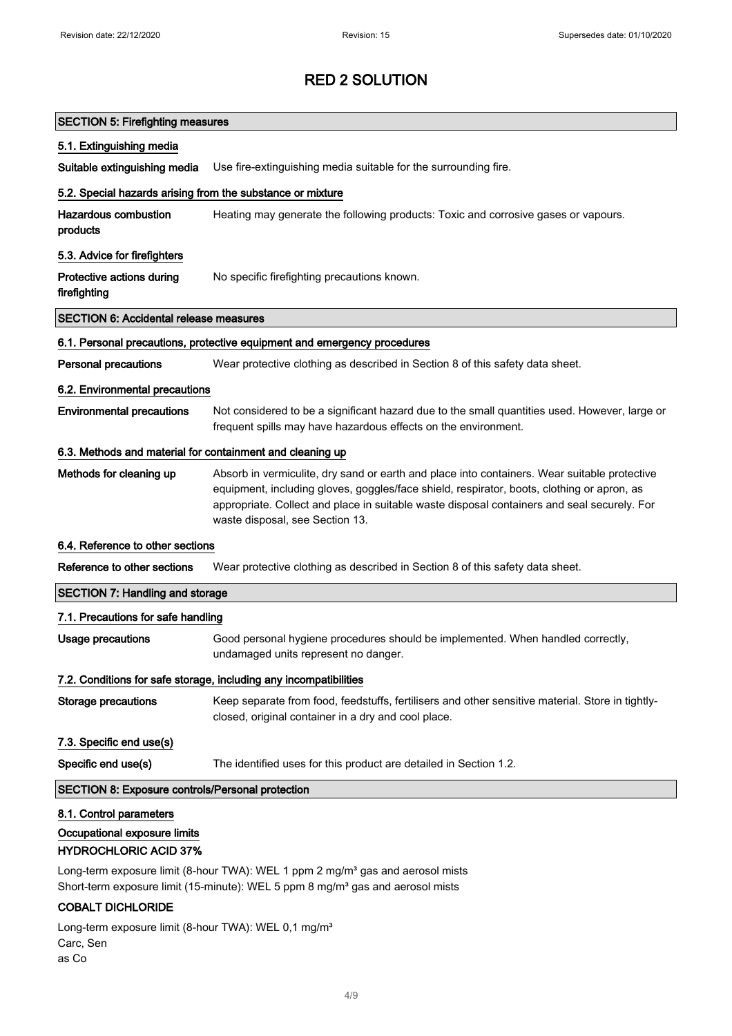| <b>SECTION 5: Firefighting measures</b>                                                 |                                                                                                                                                                                                                                                                                                                              |  |
|-----------------------------------------------------------------------------------------|------------------------------------------------------------------------------------------------------------------------------------------------------------------------------------------------------------------------------------------------------------------------------------------------------------------------------|--|
| 5.1. Extinguishing media                                                                |                                                                                                                                                                                                                                                                                                                              |  |
| Suitable extinguishing media                                                            | Use fire-extinguishing media suitable for the surrounding fire.                                                                                                                                                                                                                                                              |  |
| 5.2. Special hazards arising from the substance or mixture                              |                                                                                                                                                                                                                                                                                                                              |  |
| <b>Hazardous combustion</b><br>products                                                 | Heating may generate the following products: Toxic and corrosive gases or vapours.                                                                                                                                                                                                                                           |  |
| 5.3. Advice for firefighters                                                            |                                                                                                                                                                                                                                                                                                                              |  |
| Protective actions during<br>firefighting                                               | No specific firefighting precautions known.                                                                                                                                                                                                                                                                                  |  |
| <b>SECTION 6: Accidental release measures</b>                                           |                                                                                                                                                                                                                                                                                                                              |  |
|                                                                                         | 6.1. Personal precautions, protective equipment and emergency procedures                                                                                                                                                                                                                                                     |  |
| <b>Personal precautions</b>                                                             | Wear protective clothing as described in Section 8 of this safety data sheet.                                                                                                                                                                                                                                                |  |
| 6.2. Environmental precautions                                                          |                                                                                                                                                                                                                                                                                                                              |  |
| <b>Environmental precautions</b>                                                        | Not considered to be a significant hazard due to the small quantities used. However, large or<br>frequent spills may have hazardous effects on the environment.                                                                                                                                                              |  |
| 6.3. Methods and material for containment and cleaning up                               |                                                                                                                                                                                                                                                                                                                              |  |
| Methods for cleaning up                                                                 | Absorb in vermiculite, dry sand or earth and place into containers. Wear suitable protective<br>equipment, including gloves, goggles/face shield, respirator, boots, clothing or apron, as<br>appropriate. Collect and place in suitable waste disposal containers and seal securely. For<br>waste disposal, see Section 13. |  |
| 6.4. Reference to other sections                                                        |                                                                                                                                                                                                                                                                                                                              |  |
| Reference to other sections                                                             | Wear protective clothing as described in Section 8 of this safety data sheet.                                                                                                                                                                                                                                                |  |
| <b>SECTION 7: Handling and storage</b>                                                  |                                                                                                                                                                                                                                                                                                                              |  |
| 7.1. Precautions for safe handling                                                      |                                                                                                                                                                                                                                                                                                                              |  |
| <b>Usage precautions</b>                                                                | Good personal hygiene procedures should be implemented. When handled correctly,<br>undamaged units represent no danger.                                                                                                                                                                                                      |  |
|                                                                                         | 7.2. Conditions for safe storage, including any incompatibilities                                                                                                                                                                                                                                                            |  |
| <b>Storage precautions</b>                                                              | Keep separate from food, feedstuffs, fertilisers and other sensitive material. Store in tightly-<br>closed, original container in a dry and cool place.                                                                                                                                                                      |  |
| 7.3. Specific end use(s)                                                                |                                                                                                                                                                                                                                                                                                                              |  |
| Specific end use(s)                                                                     | The identified uses for this product are detailed in Section 1.2.                                                                                                                                                                                                                                                            |  |
| <b>SECTION 8: Exposure controls/Personal protection</b>                                 |                                                                                                                                                                                                                                                                                                                              |  |
| 8.1. Control parameters<br>Occupational exposure limits<br><b>HYDROCHLORIC ACID 37%</b> |                                                                                                                                                                                                                                                                                                                              |  |
| <b>COBALT DICHLORIDE</b>                                                                | Long-term exposure limit (8-hour TWA): WEL 1 ppm 2 mg/m <sup>3</sup> gas and aerosol mists<br>Short-term exposure limit (15-minute): WEL 5 ppm 8 mg/m <sup>3</sup> gas and aerosol mists                                                                                                                                     |  |
| $1$ ong-term exposure limit $(8-h_0)r$ TWA): WEL 0.1 mg/m <sup>3</sup>                  |                                                                                                                                                                                                                                                                                                                              |  |

Long-term exposure limit (8-hour TWA): WEL 0,1 mg/m<sup>3</sup> Carc, Sen as Co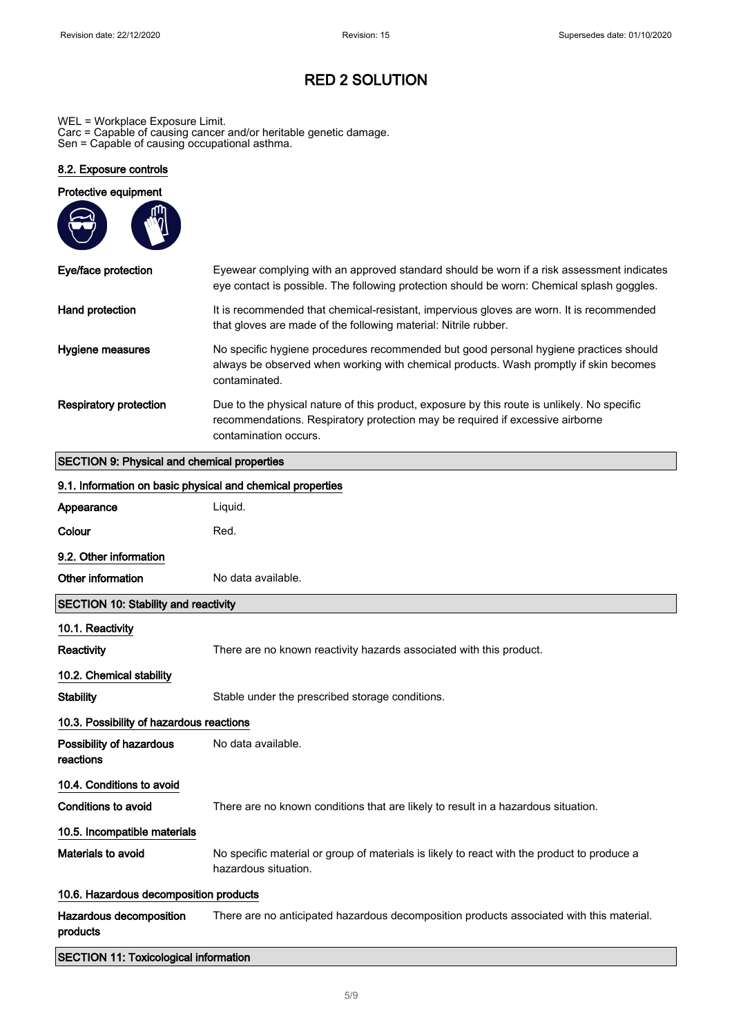WEL = Workplace Exposure Limit. Carc = Capable of causing cancer and/or heritable genetic damage. Sen = Capable of causing occupational asthma.

## 8.2. Exposure controls

| Protective equipment   |                                                                                                                                                                                                       |
|------------------------|-------------------------------------------------------------------------------------------------------------------------------------------------------------------------------------------------------|
| Eye/face protection    | Eyewear complying with an approved standard should be worn if a risk assessment indicates<br>eye contact is possible. The following protection should be worn: Chemical splash goggles.               |
| Hand protection        | It is recommended that chemical-resistant, impervious gloves are worn. It is recommended<br>that gloves are made of the following material: Nitrile rubber.                                           |
| Hygiene measures       | No specific hygiene procedures recommended but good personal hygiene practices should<br>always be observed when working with chemical products. Wash promptly if skin becomes<br>contaminated.       |
| Respiratory protection | Due to the physical nature of this product, exposure by this route is unlikely. No specific<br>recommendations. Respiratory protection may be required if excessive airborne<br>contamination occurs. |

# SECTION 9: Physical and chemical properties

| 9.1. Information on basic physical and chemical properties |                                                                                                                     |  |
|------------------------------------------------------------|---------------------------------------------------------------------------------------------------------------------|--|
| Appearance                                                 | Liquid.                                                                                                             |  |
| Colour                                                     | Red.                                                                                                                |  |
| 9.2. Other information                                     |                                                                                                                     |  |
| Other information                                          | No data available.                                                                                                  |  |
| <b>SECTION 10: Stability and reactivity</b>                |                                                                                                                     |  |
| 10.1. Reactivity                                           |                                                                                                                     |  |
| <b>Reactivity</b>                                          | There are no known reactivity hazards associated with this product.                                                 |  |
| 10.2. Chemical stability                                   |                                                                                                                     |  |
| <b>Stability</b>                                           | Stable under the prescribed storage conditions.                                                                     |  |
| 10.3. Possibility of hazardous reactions                   |                                                                                                                     |  |
| Possibility of hazardous<br>reactions                      | No data available.                                                                                                  |  |
| 10.4. Conditions to avoid                                  |                                                                                                                     |  |
| <b>Conditions to avoid</b>                                 | There are no known conditions that are likely to result in a hazardous situation.                                   |  |
| 10.5. Incompatible materials                               |                                                                                                                     |  |
| <b>Materials to avoid</b>                                  | No specific material or group of materials is likely to react with the product to produce a<br>hazardous situation. |  |
| 10.6. Hazardous decomposition products                     |                                                                                                                     |  |
| Hazardous decomposition<br>products                        | There are no anticipated hazardous decomposition products associated with this material.                            |  |
| <b>SECTION 11: Toxicological information</b>               |                                                                                                                     |  |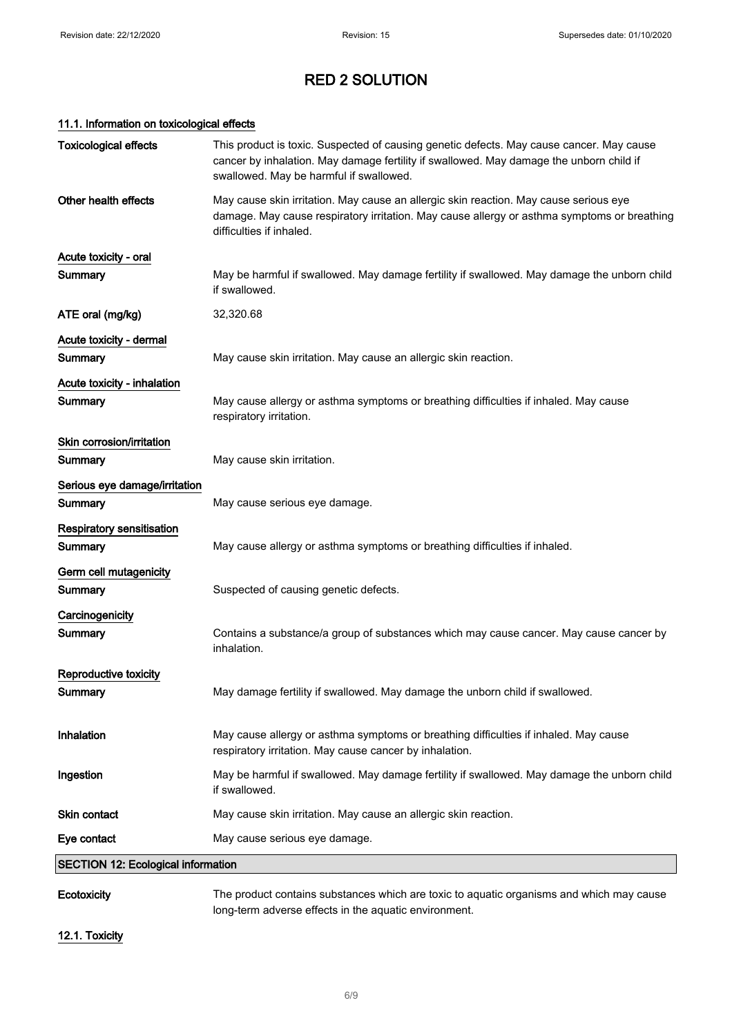# 11.1. Information on toxicological effects

| Ecotoxicity                                 | The product contains substances which are toxic to aquatic organisms and which may cause                                                                                                                                       |
|---------------------------------------------|--------------------------------------------------------------------------------------------------------------------------------------------------------------------------------------------------------------------------------|
| <b>SECTION 12: Ecological information</b>   |                                                                                                                                                                                                                                |
| Eye contact                                 | May cause serious eye damage.                                                                                                                                                                                                  |
| Skin contact                                | May cause skin irritation. May cause an allergic skin reaction.                                                                                                                                                                |
| Ingestion                                   | May be harmful if swallowed. May damage fertility if swallowed. May damage the unborn child<br>if swallowed.                                                                                                                   |
| Inhalation                                  | May cause allergy or asthma symptoms or breathing difficulties if inhaled. May cause<br>respiratory irritation. May cause cancer by inhalation.                                                                                |
| Reproductive toxicity<br><b>Summary</b>     | May damage fertility if swallowed. May damage the unborn child if swallowed.                                                                                                                                                   |
| Carcinogenicity<br>Summary                  | Contains a substance/a group of substances which may cause cancer. May cause cancer by<br>inhalation.                                                                                                                          |
| Germ cell mutagenicity<br>Summary           | Suspected of causing genetic defects.                                                                                                                                                                                          |
| <b>Respiratory sensitisation</b><br>Summary | May cause allergy or asthma symptoms or breathing difficulties if inhaled.                                                                                                                                                     |
| Serious eye damage/irritation<br>Summary    | May cause serious eye damage.                                                                                                                                                                                                  |
| Skin corrosion/irritation<br>Summary        | May cause skin irritation.                                                                                                                                                                                                     |
| Acute toxicity - inhalation<br>Summary      | May cause allergy or asthma symptoms or breathing difficulties if inhaled. May cause<br>respiratory irritation.                                                                                                                |
| Acute toxicity - dermal<br><b>Summary</b>   | May cause skin irritation. May cause an allergic skin reaction.                                                                                                                                                                |
| ATE oral (mg/kg)                            | 32,320.68                                                                                                                                                                                                                      |
| Acute toxicity - oral<br>Summary            | May be harmful if swallowed. May damage fertility if swallowed. May damage the unborn child<br>if swallowed.                                                                                                                   |
| Other health effects                        | May cause skin irritation. May cause an allergic skin reaction. May cause serious eye<br>damage. May cause respiratory irritation. May cause allergy or asthma symptoms or breathing<br>difficulties if inhaled.               |
| <b>Toxicological effects</b>                | This product is toxic. Suspected of causing genetic defects. May cause cancer. May cause<br>cancer by inhalation. May damage fertility if swallowed. May damage the unborn child if<br>swallowed. May be harmful if swallowed. |

long-term adverse effects in the aquatic environment.

12.1. Toxicity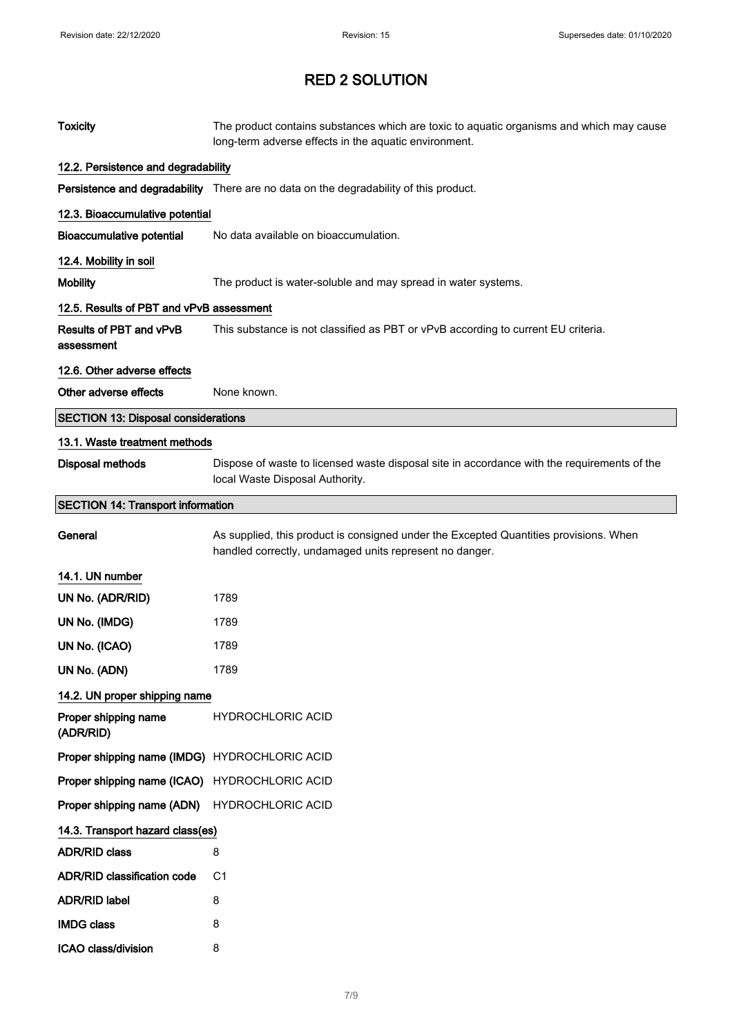| <b>Toxicity</b>                               | The product contains substances which are toxic to aquatic organisms and which may cause<br>long-term adverse effects in the aquatic environment. |
|-----------------------------------------------|---------------------------------------------------------------------------------------------------------------------------------------------------|
| 12.2. Persistence and degradability           |                                                                                                                                                   |
|                                               | Persistence and degradability There are no data on the degradability of this product.                                                             |
| 12.3. Bioaccumulative potential               |                                                                                                                                                   |
| <b>Bioaccumulative potential</b>              | No data available on bioaccumulation.                                                                                                             |
| 12.4. Mobility in soil                        |                                                                                                                                                   |
| <b>Mobility</b>                               | The product is water-soluble and may spread in water systems.                                                                                     |
| 12.5. Results of PBT and vPvB assessment      |                                                                                                                                                   |
| Results of PBT and vPvB<br>assessment         | This substance is not classified as PBT or vPvB according to current EU criteria.                                                                 |
| 12.6. Other adverse effects                   |                                                                                                                                                   |
| Other adverse effects                         | None known.                                                                                                                                       |
| <b>SECTION 13: Disposal considerations</b>    |                                                                                                                                                   |
| 13.1. Waste treatment methods                 |                                                                                                                                                   |
| Disposal methods                              | Dispose of waste to licensed waste disposal site in accordance with the requirements of the<br>local Waste Disposal Authority.                    |
| <b>SECTION 14: Transport information</b>      |                                                                                                                                                   |
| General                                       | As supplied, this product is consigned under the Excepted Quantities provisions. When<br>handled correctly, undamaged units represent no danger.  |
| 14.1. UN number                               |                                                                                                                                                   |
| UN No. (ADR/RID)                              | 1789                                                                                                                                              |
| UN No. (IMDG)                                 | 1789                                                                                                                                              |
| UN No. (ICAO)                                 | 1789                                                                                                                                              |
| UN No. (ADN)                                  | 1789                                                                                                                                              |
| 14.2. UN proper shipping name                 |                                                                                                                                                   |
| Proper shipping name<br>(ADR/RID)             | <b>HYDROCHLORIC ACID</b>                                                                                                                          |
| Proper shipping name (IMDG) HYDROCHLORIC ACID |                                                                                                                                                   |
| Proper shipping name (ICAO)                   | <b>HYDROCHLORIC ACID</b>                                                                                                                          |
| Proper shipping name (ADN)                    | <b>HYDROCHLORIC ACID</b>                                                                                                                          |
| 14.3. Transport hazard class(es)              |                                                                                                                                                   |
| <b>ADR/RID class</b>                          | 8                                                                                                                                                 |
| <b>ADR/RID classification code</b>            | C1                                                                                                                                                |
| <b>ADR/RID label</b>                          | 8                                                                                                                                                 |
| <b>IMDG class</b>                             | 8                                                                                                                                                 |
| ICAO class/division                           | 8                                                                                                                                                 |
|                                               |                                                                                                                                                   |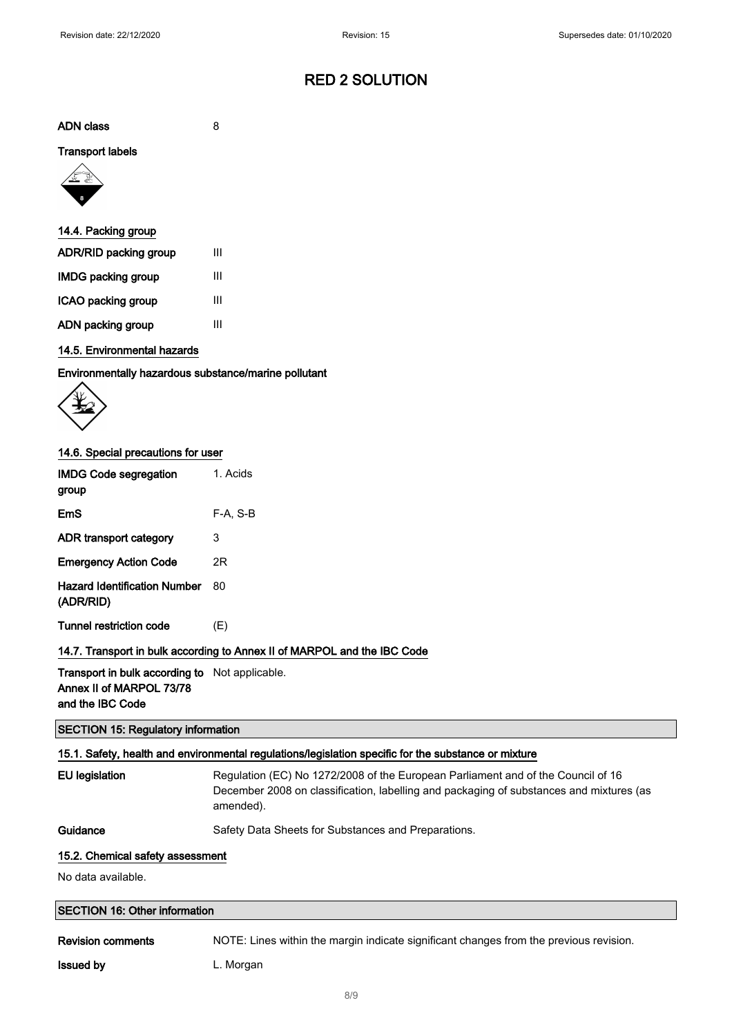ADN class 8

#### Transport labels



| 14.4. Packing group   |   |
|-----------------------|---|
| ADR/RID packing group | Ш |
| IMDG packing group    | Ш |
| ICAO packing group    | Ш |
| ADN packing group     | Ш |

## 14.5. Environmental hazards

Environmentally hazardous substance/marine pollutant



#### 14.6. Special precautions for user

| <b>IMDG Code segregation</b><br>group     | 1. Acids |
|-------------------------------------------|----------|
| EmS                                       | F-A. S-B |
| ADR transport category                    | 3        |
| <b>Emergency Action Code</b>              | 2R       |
| Hazard Identification Number<br>(ADR/RID) | 80       |
| <b>Tunnel restriction code</b>            | (E)      |

### 14.7. Transport in bulk according to Annex II of MARPOL and the IBC Code

Transport in bulk according to Not applicable. Annex II of MARPOL 73/78 and the IBC Code

#### SECTION 15: Regulatory information

## 15.1. Safety, health and environmental regulations/legislation specific for the substance or mixture

| EU legislatio |
|---------------|
|               |

on Regulation (EC) No 1272/2008 of the European Parliament and of the Council of 16 December 2008 on classification, labelling and packaging of substances and mixtures (as amended).

Guidance Safety Data Sheets for Substances and Preparations.

#### 15.2. Chemical safety assessment

No data available.

| <b>SECTION 16: Other information</b> |                                                                                        |  |
|--------------------------------------|----------------------------------------------------------------------------------------|--|
| <b>Revision comments</b>             | NOTE: Lines within the margin indicate significant changes from the previous revision. |  |

**Issued by** L. Morgan